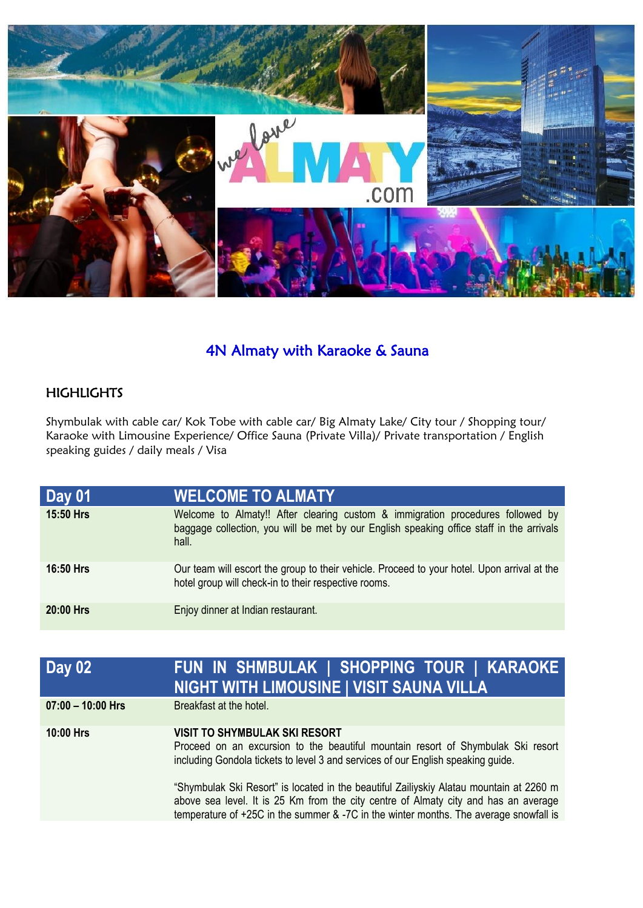

# 4N Almaty with Karaoke & Sauna

### **HIGHLIGHTS**

Shymbulak with cable car/ Kok Tobe with cable car/ Big Almaty Lake/ City tour / Shopping tour/ Karaoke with Limousine Experience/ Office Sauna (Private Villa)/ Private transportation / English speaking guides / daily meals / Visa

| Day 01           | <b>WELCOME TO ALMATY.</b>                                                                                                                                                           |
|------------------|-------------------------------------------------------------------------------------------------------------------------------------------------------------------------------------|
| 15:50 Hrs        | Welcome to Almaty!! After clearing custom & immigration procedures followed by<br>baggage collection, you will be met by our English speaking office staff in the arrivals<br>hall. |
| <b>16:50 Hrs</b> | Our team will escort the group to their vehicle. Proceed to your hotel. Upon arrival at the<br>hotel group will check-in to their respective rooms.                                 |
| 20:00 Hrs        | Enjoy dinner at Indian restaurant.                                                                                                                                                  |

| <b>Day 02</b>       | FUN IN SHMBULAK   SHOPPING TOUR   KARAOKE<br><b>NIGHT WITH LIMOUSINE   VISIT SAUNA VILLA</b>                                                                                                                                                                            |
|---------------------|-------------------------------------------------------------------------------------------------------------------------------------------------------------------------------------------------------------------------------------------------------------------------|
| $07:00 - 10:00$ Hrs | Breakfast at the hotel.                                                                                                                                                                                                                                                 |
| <b>10:00 Hrs</b>    | <b>VISIT TO SHYMBULAK SKI RESORT</b><br>Proceed on an excursion to the beautiful mountain resort of Shymbulak Ski resort<br>including Gondola tickets to level 3 and services of our English speaking guide.                                                            |
|                     | "Shymbulak Ski Resort" is located in the beautiful Zailiyskiy Alatau mountain at 2260 m<br>above sea level. It is 25 Km from the city centre of Almaty city and has an average<br>temperature of +25C in the summer & -7C in the winter months. The average snowfall is |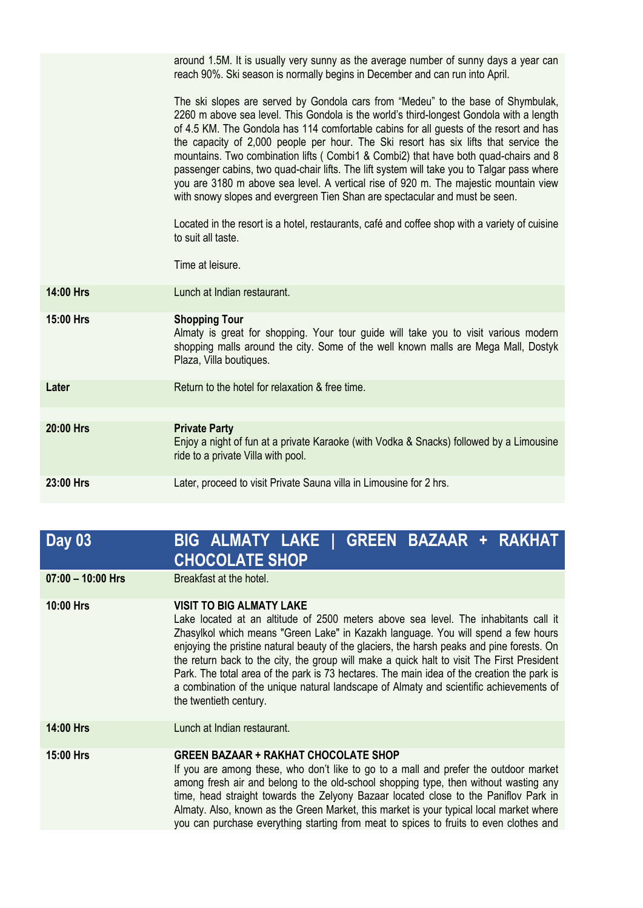|           | around 1.5M. It is usually very sunny as the average number of sunny days a year can<br>reach 90%. Ski season is normally begins in December and can run into April.                                                                                                                                                                                                                                                                                                                                                                                                                                                                                                                                                                                                                                                                                                 |
|-----------|----------------------------------------------------------------------------------------------------------------------------------------------------------------------------------------------------------------------------------------------------------------------------------------------------------------------------------------------------------------------------------------------------------------------------------------------------------------------------------------------------------------------------------------------------------------------------------------------------------------------------------------------------------------------------------------------------------------------------------------------------------------------------------------------------------------------------------------------------------------------|
|           | The ski slopes are served by Gondola cars from "Medeu" to the base of Shymbulak,<br>2260 m above sea level. This Gondola is the world's third-longest Gondola with a length<br>of 4.5 KM. The Gondola has 114 comfortable cabins for all guests of the resort and has<br>the capacity of 2,000 people per hour. The Ski resort has six lifts that service the<br>mountains. Two combination lifts (Combi1 & Combi2) that have both quad-chairs and 8<br>passenger cabins, two quad-chair lifts. The lift system will take you to Talgar pass where<br>you are 3180 m above sea level. A vertical rise of 920 m. The majestic mountain view<br>with snowy slopes and evergreen Tien Shan are spectacular and must be seen.<br>Located in the resort is a hotel, restaurants, café and coffee shop with a variety of cuisine<br>to suit all taste.<br>Time at leisure. |
|           |                                                                                                                                                                                                                                                                                                                                                                                                                                                                                                                                                                                                                                                                                                                                                                                                                                                                      |
| 14:00 Hrs | Lunch at Indian restaurant.                                                                                                                                                                                                                                                                                                                                                                                                                                                                                                                                                                                                                                                                                                                                                                                                                                          |
| 15:00 Hrs | <b>Shopping Tour</b><br>Almaty is great for shopping. Your tour guide will take you to visit various modern<br>shopping malls around the city. Some of the well known malls are Mega Mall, Dostyk<br>Plaza, Villa boutiques.                                                                                                                                                                                                                                                                                                                                                                                                                                                                                                                                                                                                                                         |
| Later     | Return to the hotel for relaxation & free time.                                                                                                                                                                                                                                                                                                                                                                                                                                                                                                                                                                                                                                                                                                                                                                                                                      |
|           |                                                                                                                                                                                                                                                                                                                                                                                                                                                                                                                                                                                                                                                                                                                                                                                                                                                                      |
| 20:00 Hrs | <b>Private Party</b><br>Enjoy a night of fun at a private Karaoke (with Vodka & Snacks) followed by a Limousine<br>ride to a private Villa with pool.                                                                                                                                                                                                                                                                                                                                                                                                                                                                                                                                                                                                                                                                                                                |
| 23:00 Hrs | Later, proceed to visit Private Sauna villa in Limousine for 2 hrs.                                                                                                                                                                                                                                                                                                                                                                                                                                                                                                                                                                                                                                                                                                                                                                                                  |

## **Day 03 BIG ALMATY LAKE | GREEN BAZAAR + RAKHAT CHOCOLATE SHOP**

**07:00 – 10:00 Hrs** Breakfast at the hotel.

#### **10:00 Hrs VISIT TO BIG ALMATY LAKE**

Lake located at an altitude of 2500 meters above sea level. The inhabitants call it Zhasylkol which means "Green Lake" in Kazakh language. You will spend a few hours enjoying the pristine natural beauty of the glaciers, the harsh peaks and pine forests. On the return back to the city, the group will make a quick halt to visit The First President Park. The total area of the park is 73 hectares. The main idea of the creation the park is a combination of the unique natural landscape of Almaty and scientific achievements of the twentieth century.

**14:00 Hrs** Lunch at Indian restaurant.

### **15:00 Hrs GREEN BAZAAR + RAKHAT CHOCOLATE SHOP**

If you are among these, who don't like to go to a mall and prefer the outdoor market among fresh air and belong to the old-school shopping type, then without wasting any time, head straight towards the Zelyony Bazaar located close to the Paniflov Park in Almaty. Also, known as the Green Market, this market is your typical local market where you can purchase everything starting from meat to spices to fruits to even clothes and